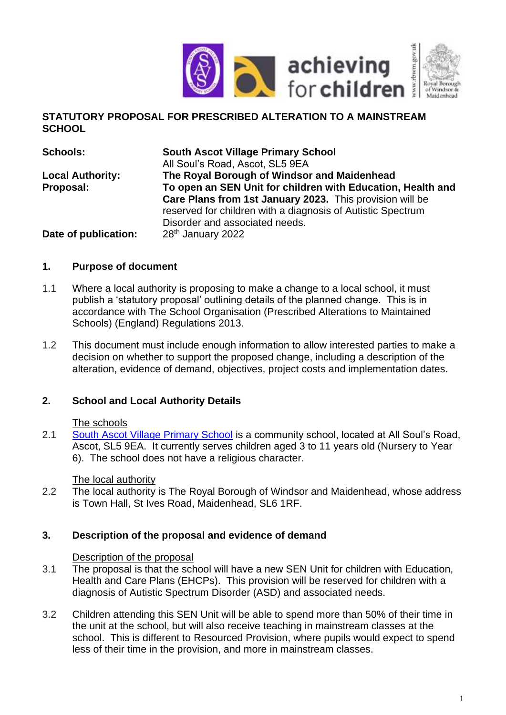

## **STATUTORY PROPOSAL FOR PRESCRIBED ALTERATION TO A MAINSTREAM SCHOOL**

| <b>Schools:</b>         | <b>South Ascot Village Primary School</b>                   |  |  |  |  |
|-------------------------|-------------------------------------------------------------|--|--|--|--|
|                         | All Soul's Road, Ascot, SL5 9EA                             |  |  |  |  |
| <b>Local Authority:</b> | The Royal Borough of Windsor and Maidenhead                 |  |  |  |  |
| Proposal:               | To open an SEN Unit for children with Education, Health and |  |  |  |  |
|                         | Care Plans from 1st January 2023. This provision will be    |  |  |  |  |
|                         | reserved for children with a diagnosis of Autistic Spectrum |  |  |  |  |
|                         | Disorder and associated needs.                              |  |  |  |  |
| Date of publication:    | 28 <sup>th</sup> January 2022                               |  |  |  |  |

## **1. Purpose of document**

- 1.1 Where a local authority is proposing to make a change to a local school, it must publish a 'statutory proposal' outlining details of the planned change. This is in accordance with The School Organisation (Prescribed Alterations to Maintained Schools) (England) Regulations 2013.
- 1.2 This document must include enough information to allow interested parties to make a decision on whether to support the proposed change, including a description of the alteration, evidence of demand, objectives, project costs and implementation dates.

## **2. School and Local Authority Details**

### The schools

2.1 [South Ascot Village Primary School](https://www.rbwm.gov.uk/home/schools-and-education/schools-and-schooling/schools-directory/south-ascot-village-primary-school) is a community school, located at All Soul's Road, Ascot, SL5 9EA. It currently serves children aged 3 to 11 years old (Nursery to Year 6). The school does not have a religious character.

### The local authority

2.2 The local authority is The Royal Borough of Windsor and Maidenhead, whose address is Town Hall, St Ives Road, Maidenhead, SL6 1RF.

### **3. Description of the proposal and evidence of demand**

#### Description of the proposal

- 3.1 The proposal is that the school will have a new SEN Unit for children with Education, Health and Care Plans (EHCPs). This provision will be reserved for children with a diagnosis of Autistic Spectrum Disorder (ASD) and associated needs.
- 3.2 Children attending this SEN Unit will be able to spend more than 50% of their time in the unit at the school, but will also receive teaching in mainstream classes at the school. This is different to Resourced Provision, where pupils would expect to spend less of their time in the provision, and more in mainstream classes.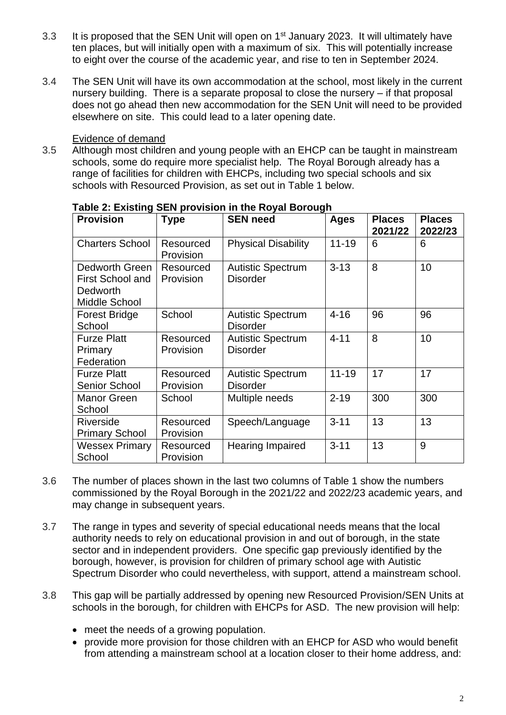- 3.3 It is proposed that the SEN Unit will open on 1<sup>st</sup> January 2023. It will ultimately have ten places, but will initially open with a maximum of six. This will potentially increase to eight over the course of the academic year, and rise to ten in September 2024.
- 3.4 The SEN Unit will have its own accommodation at the school, most likely in the current nursery building. There is a separate proposal to close the nursery – if that proposal does not go ahead then new accommodation for the SEN Unit will need to be provided elsewhere on site. This could lead to a later opening date.

### Evidence of demand

3.5 Although most children and young people with an EHCP can be taught in mainstream schools, some do require more specialist help. The Royal Borough already has a range of facilities for children with EHCPs, including two special schools and six schools with Resourced Provision, as set out in Table 1 below.

| <b>Provision</b>                                                              | <b>Type</b>            | <b>SEN need</b>                             | <b>Ages</b> | <b>Places</b><br>2021/22 | <b>Places</b><br>2022/23 |
|-------------------------------------------------------------------------------|------------------------|---------------------------------------------|-------------|--------------------------|--------------------------|
| <b>Charters School</b>                                                        | Resourced<br>Provision | <b>Physical Disability</b>                  | $11 - 19$   | 6                        | 6                        |
| Dedworth Green<br><b>First School and</b><br><b>Dedworth</b><br>Middle School | Resourced<br>Provision | <b>Autistic Spectrum</b><br><b>Disorder</b> | $3 - 13$    | 8                        | 10                       |
| <b>Forest Bridge</b><br>School                                                | School                 | <b>Autistic Spectrum</b><br><b>Disorder</b> | $4 - 16$    | 96                       | 96                       |
| <b>Furze Platt</b><br>Primary<br>Federation                                   | Resourced<br>Provision | <b>Autistic Spectrum</b><br><b>Disorder</b> | $4 - 11$    | 8                        | 10                       |
| <b>Furze Platt</b><br><b>Senior School</b>                                    | Resourced<br>Provision | <b>Autistic Spectrum</b><br><b>Disorder</b> | $11 - 19$   | 17                       | 17                       |
| Manor Green<br>School                                                         | School                 | Multiple needs                              | $2 - 19$    | 300                      | 300                      |
| Riverside<br><b>Primary School</b>                                            | Resourced<br>Provision | Speech/Language                             | $3 - 11$    | 13                       | 13                       |
| <b>Wessex Primary</b><br>School                                               | Resourced<br>Provision | <b>Hearing Impaired</b>                     | $3 - 11$    | 13                       | 9                        |

### **Table 2: Existing SEN provision in the Royal Borough**

- 3.6 The number of places shown in the last two columns of Table 1 show the numbers commissioned by the Royal Borough in the 2021/22 and 2022/23 academic years, and may change in subsequent years.
- 3.7 The range in types and severity of special educational needs means that the local authority needs to rely on educational provision in and out of borough, in the state sector and in independent providers. One specific gap previously identified by the borough, however, is provision for children of primary school age with Autistic Spectrum Disorder who could nevertheless, with support, attend a mainstream school.
- 3.8 This gap will be partially addressed by opening new Resourced Provision/SEN Units at schools in the borough, for children with EHCPs for ASD. The new provision will help:
	- meet the needs of a growing population.
	- provide more provision for those children with an EHCP for ASD who would benefit from attending a mainstream school at a location closer to their home address, and: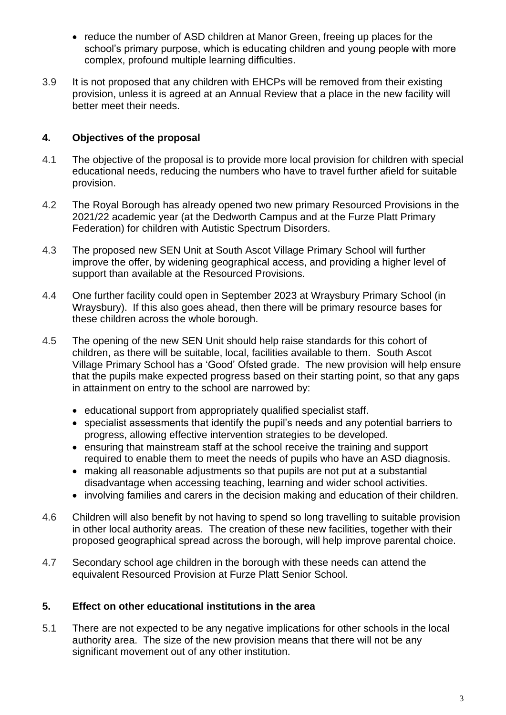- reduce the number of ASD children at Manor Green, freeing up places for the school's primary purpose, which is educating children and young people with more complex, profound multiple learning difficulties.
- 3.9 It is not proposed that any children with EHCPs will be removed from their existing provision, unless it is agreed at an Annual Review that a place in the new facility will better meet their needs.

## **4. Objectives of the proposal**

- 4.1 The objective of the proposal is to provide more local provision for children with special educational needs, reducing the numbers who have to travel further afield for suitable provision.
- 4.2 The Royal Borough has already opened two new primary Resourced Provisions in the 2021/22 academic year (at the Dedworth Campus and at the Furze Platt Primary Federation) for children with Autistic Spectrum Disorders.
- 4.3 The proposed new SEN Unit at South Ascot Village Primary School will further improve the offer, by widening geographical access, and providing a higher level of support than available at the Resourced Provisions.
- 4.4 One further facility could open in September 2023 at Wraysbury Primary School (in Wraysbury). If this also goes ahead, then there will be primary resource bases for these children across the whole borough.
- 4.5 The opening of the new SEN Unit should help raise standards for this cohort of children, as there will be suitable, local, facilities available to them. South Ascot Village Primary School has a 'Good' Ofsted grade. The new provision will help ensure that the pupils make expected progress based on their starting point, so that any gaps in attainment on entry to the school are narrowed by:
	- educational support from appropriately qualified specialist staff.
	- specialist assessments that identify the pupil's needs and any potential barriers to progress, allowing effective intervention strategies to be developed.
	- ensuring that mainstream staff at the school receive the training and support required to enable them to meet the needs of pupils who have an ASD diagnosis.
	- making all reasonable adjustments so that pupils are not put at a substantial disadvantage when accessing teaching, learning and wider school activities.
	- involving families and carers in the decision making and education of their children.
- 4.6 Children will also benefit by not having to spend so long travelling to suitable provision in other local authority areas. The creation of these new facilities, together with their proposed geographical spread across the borough, will help improve parental choice.
- 4.7 Secondary school age children in the borough with these needs can attend the equivalent Resourced Provision at Furze Platt Senior School.

## **5. Effect on other educational institutions in the area**

5.1 There are not expected to be any negative implications for other schools in the local authority area. The size of the new provision means that there will not be any significant movement out of any other institution.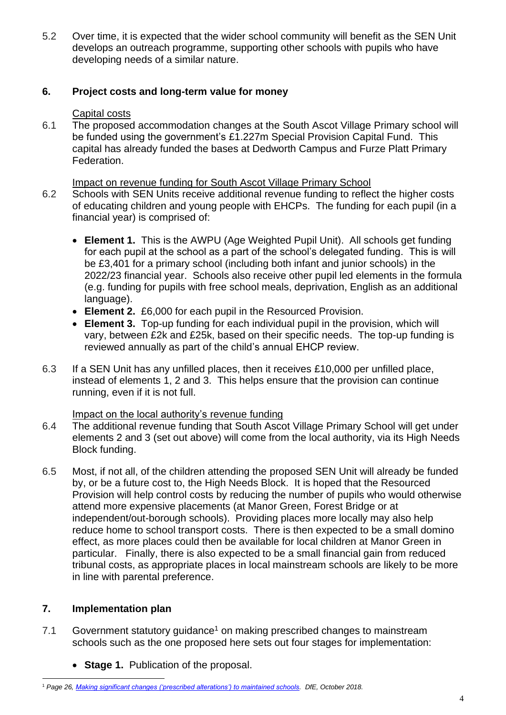5.2 Over time, it is expected that the wider school community will benefit as the SEN Unit develops an outreach programme, supporting other schools with pupils who have developing needs of a similar nature.

## **6. Project costs and long-term value for money**

### Capital costs

6.1 The proposed accommodation changes at the South Ascot Village Primary school will be funded using the government's £1.227m Special Provision Capital Fund. This capital has already funded the bases at Dedworth Campus and Furze Platt Primary Federation.

### Impact on revenue funding for South Ascot Village Primary School

- 6.2 Schools with SEN Units receive additional revenue funding to reflect the higher costs of educating children and young people with EHCPs. The funding for each pupil (in a financial year) is comprised of:
	- **Element 1.** This is the AWPU (Age Weighted Pupil Unit). All schools get funding for each pupil at the school as a part of the school's delegated funding. This is will be £3,401 for a primary school (including both infant and junior schools) in the 2022/23 financial year. Schools also receive other pupil led elements in the formula (e.g. funding for pupils with free school meals, deprivation, English as an additional language).
	- **Element 2.** £6,000 for each pupil in the Resourced Provision.
	- **Element 3.** Top-up funding for each individual pupil in the provision, which will vary, between £2k and £25k, based on their specific needs. The top-up funding is reviewed annually as part of the child's annual EHCP review.
- 6.3 If a SEN Unit has any unfilled places, then it receives £10,000 per unfilled place, instead of elements 1, 2 and 3. This helps ensure that the provision can continue running, even if it is not full.

## Impact on the local authority's revenue funding

- 6.4 The additional revenue funding that South Ascot Village Primary School will get under elements 2 and 3 (set out above) will come from the local authority, via its High Needs Block funding.
- 6.5 Most, if not all, of the children attending the proposed SEN Unit will already be funded by, or be a future cost to, the High Needs Block. It is hoped that the Resourced Provision will help control costs by reducing the number of pupils who would otherwise attend more expensive placements (at Manor Green, Forest Bridge or at independent/out-borough schools). Providing places more locally may also help reduce home to school transport costs. There is then expected to be a small domino effect, as more places could then be available for local children at Manor Green in particular. Finally, there is also expected to be a small financial gain from reduced tribunal costs, as appropriate places in local mainstream schools are likely to be more in line with parental preference.

## **7. Implementation plan**

- 7.1 Government statutory quidance<sup>1</sup> on making prescribed changes to mainstream schools such as the one proposed here sets out four stages for implementation:
	- **Stage 1.** Publication of the proposal.

<sup>1</sup> *Page 26, [Making significant changes \('prescribed alterations'\) to maintained schools.](https://assets.publishing.service.gov.uk/government/uploads/system/uploads/attachment_data/file/756572/Maintained_schools_prescribed_alterations_guidance.pdf) DfE, October 2018.*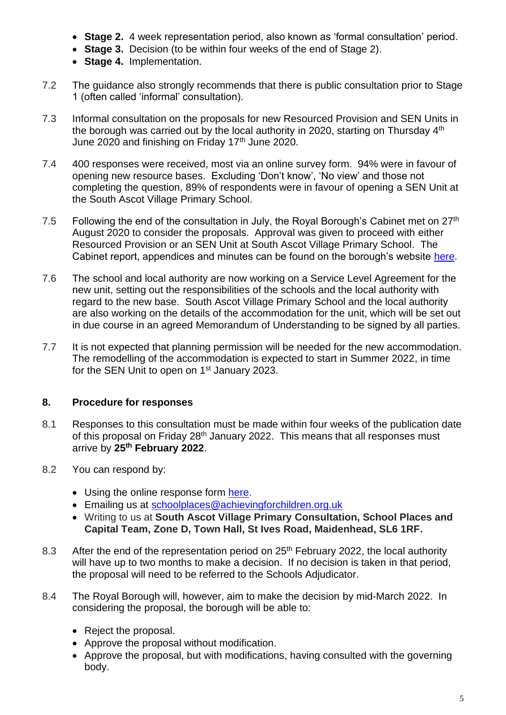- **Stage 2.** 4 week representation period, also known as 'formal consultation' period.
- **Stage 3.** Decision (to be within four weeks of the end of Stage 2).
- **Stage 4.** Implementation.
- 7.2 The guidance also strongly recommends that there is public consultation prior to Stage 1 (often called 'informal' consultation).
- 7.3 Informal consultation on the proposals for new Resourced Provision and SEN Units in the borough was carried out by the local authority in 2020, starting on Thursday 4<sup>th</sup> June 2020 and finishing on Friday  $17<sup>th</sup>$  June 2020.
- 7.4 400 responses were received, most via an online survey form. 94% were in favour of opening new resource bases. Excluding 'Don't know', 'No view' and those not completing the question, 89% of respondents were in favour of opening a SEN Unit at the South Ascot Village Primary School.
- 7.5 Following the end of the consultation in July, the Royal Borough's Cabinet met on  $27<sup>th</sup>$ August 2020 to consider the proposals. Approval was given to proceed with either Resourced Provision or an SEN Unit at South Ascot Village Primary School. The Cabinet report, appendices and minutes can be found on the borough's website [here.](https://rbwm.moderngov.co.uk/ieListDocuments.aspx?CId=132&MId=7764&Ver=4)
- 7.6 The school and local authority are now working on a Service Level Agreement for the new unit, setting out the responsibilities of the schools and the local authority with regard to the new base. South Ascot Village Primary School and the local authority are also working on the details of the accommodation for the unit, which will be set out in due course in an agreed Memorandum of Understanding to be signed by all parties.
- 7.7 It is not expected that planning permission will be needed for the new accommodation. The remodelling of the accommodation is expected to start in Summer 2022, in time for the SEN Unit to open on 1<sup>st</sup> January 2023.

# **8. Procedure for responses**

- 8.1 Responses to this consultation must be made within four weeks of the publication date of this proposal on Friday 28<sup>th</sup> January 2022. This means that all responses must arrive by **25th February 2022**.
- 8.2 You can respond by:
	- Using the online response form [here.](http://www.rbwm.gov.uk/home/council-and-democracy/consultations/education)
	- Emailing us at [schoolplaces@achievingforchildren.org.uk](mailto:schoolplaces@achievingforchildren.org.uk)
	- Writing to us at **South Ascot Village Primary Consultation, School Places and Capital Team, Zone D, Town Hall, St Ives Road, Maidenhead, SL6 1RF.**
- 8.3 After the end of the representation period on 25<sup>th</sup> February 2022, the local authority will have up to two months to make a decision. If no decision is taken in that period, the proposal will need to be referred to the Schools Adjudicator.
- 8.4 The Royal Borough will, however, aim to make the decision by mid-March 2022. In considering the proposal, the borough will be able to:
	- Reject the proposal.
	- Approve the proposal without modification.
	- Approve the proposal, but with modifications, having consulted with the governing body.